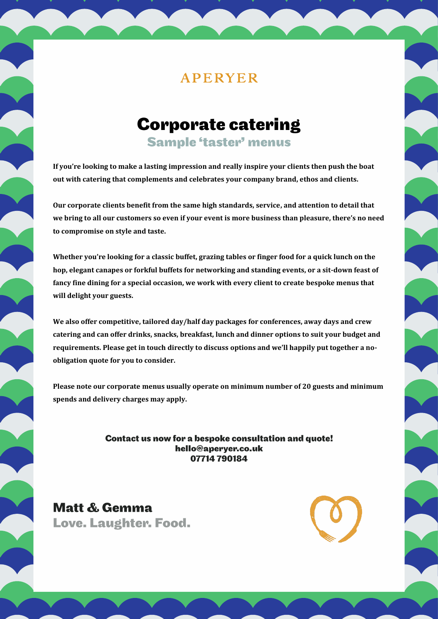## **Corporate catering**

**Sample 'taster' menus** 

**If you're looking to make a lasting impression and really inspire your clients then push the boat out with catering that complements and celebrates your company brand, ethos and clients.**

**Our corporate clients benefit from the same high standards, service, and attention to detail that we bring to all our customers so even if your event is more business than pleasure, there's no need to compromise on style and taste.**

**Whether you're looking for a classic buffet, grazing tables or finger food for a quick lunch on the hop, elegant canapes or forkful buffets for networking and standing events, or a sit-down feast of fancy fine dining for a special occasion, we work with every client to create bespoke menus that will delight your guests.** 

**We also offer competitive, tailored day/half day packages for conferences, away days and crew catering and can offer drinks, snacks, breakfast, lunch and dinner options to suit your budget and requirements. Please get in touch directly to discuss options and we'll happily put together a noobligation quote for you to consider.** 

**Please note our corporate menus usually operate on minimum number of 20 guests and minimum spends and delivery charges may apply.**

> Contact us now for a bespoke consultation and quote! hello@aperyer.co.uk 07714 790184

Matt & Gemma Love. Laughter. Food.

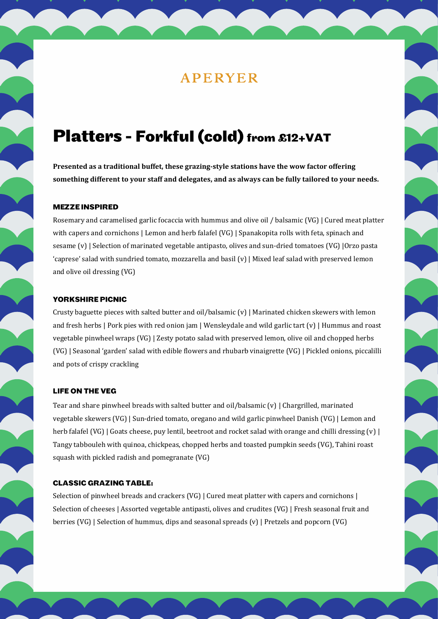## Platters - Forkful (cold) from £12+VAT

**Presented as a traditional buffet, these grazing-style stations have the wow factor offering something different to your staff and delegates, and as always can be fully tailored to your needs.** 

### **MEZZE INSPIRED**

Rosemary and caramelised garlic focaccia with hummus and olive oil / balsamic (VG) | Cured meat platter with capers and cornichons | Lemon and herb falafel (VG) | Spanakopita rolls with feta, spinach and sesame (v) | Selection of marinated vegetable antipasto, olives and sun-dried tomatoes (VG) |Orzo pasta 'caprese' salad with sundried tomato, mozzarella and basil (v) | Mixed leaf salad with preserved lemon and olive oil dressing (VG)

#### **YORKSHIRE PICNIC**

Crusty baguette pieces with salted butter and oil/balsamic (v) | Marinated chicken skewers with lemon and fresh herbs | Pork pies with red onion jam | Wensleydale and wild garlic tart (v) | Hummus and roast vegetable pinwheel wraps (VG) | Zesty potato salad with preserved lemon, olive oil and chopped herbs (VG) | Seasonal 'garden' salad with edible flowers and rhubarb vinaigrette (VG) | Pickled onions, piccalilli and pots of crispy crackling

### **LIFE ON THE VEG**

Tear and share pinwheel breads with salted butter and oil/balsamic (v) | Chargrilled, marinated vegetable skewers (VG) | Sun-dried tomato, oregano and wild garlic pinwheel Danish (VG) | Lemon and herb falafel (VG) | Goats cheese, puy lentil, beetroot and rocket salad with orange and chilli dressing (v) | Tangy tabbouleh with quinoa, chickpeas, chopped herbs and toasted pumpkin seeds (VG), Tahini roast squash with pickled radish and pomegranate (VG)

### **CLASSIC GRAZING TABLE:**

Selection of pinwheel breads and crackers (VG) | Cured meat platter with capers and cornichons | Selection of cheeses | Assorted vegetable antipasti, olives and crudites (VG) | Fresh seasonal fruit and berries (VG) | Selection of hummus, dips and seasonal spreads (v) | Pretzels and popcorn (VG)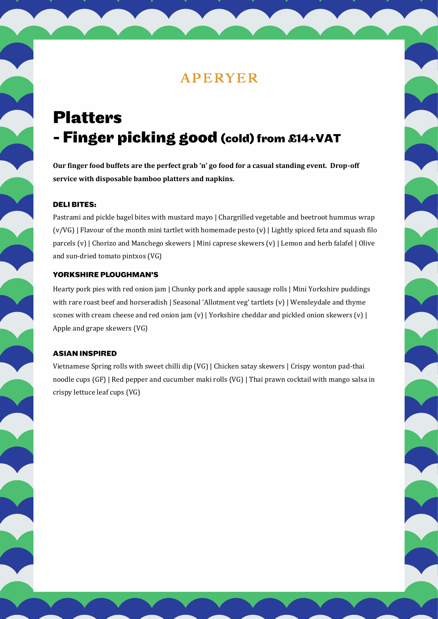# **Platters** - Finger picking good (cold) from £14+VAT

**Our finger food buffets are the perfect grab 'n' go food for a casual standing event. Drop-off service with disposable bamboo platters and napkins.**

### **DELIBITES:**

Pastrami and pickle bagel bites with mustard mayo | Chargrilled vegetable and beetroot hummus wrap (v/VG) | Flavour of the month mini tartlet with homemade pesto (v) | Lightly spiced feta and squash filo parcels (v) | Chorizo and Manchego skewers | Mini caprese skewers (v) | Lemon and herb falafel | Olive and sun-dried tomato pintxos (VG)

### YORKSHIRE PLOUGHMAN'S

Hearty pork pies with red onion jam | Chunky pork and apple sausage rolls | Mini Yorkshire puddings with rare roast beef and horseradish | Seasonal 'Allotment veg' tartlets (y) | Wensleydale and thyme scones with cream cheese and red onion jam  $(v)$  | Yorkshire cheddar and pickled onion skewers  $(v)$  | Apple and grape skewers (VG)

#### **ASIAN INSPIRED**

Vietnamese Spring rolls with sweet chilli dip (VG) | Chicken satay skewers | Crispy wonton pad-thai noodle cups (GF) | Red pepper and cucumber maki rolls (VG) | Thai prawn cocktail with mango salsa in crispy lettuce leaf cups (VG)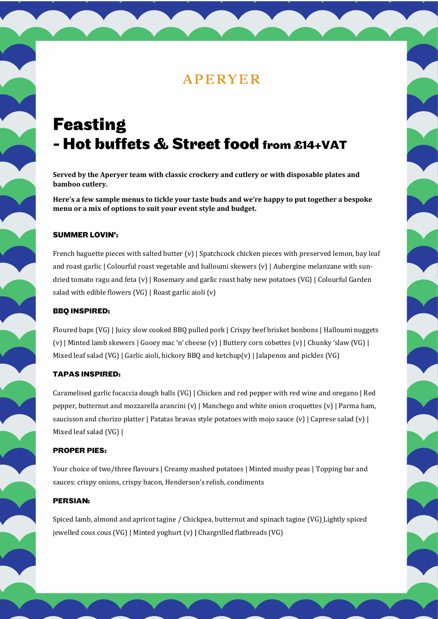# **Feasting** - Hot buffets & Street food from £14+VAT

**Served by the Aperyer team with classic crockery and cutlery or with disposable plates and bamboo cutlery.** 

**Here's a few sample menus to tickle your taste buds and we're happy to put together a bespoke menu or a mix of options to suit your event style and budget.**

### **SUMMER LOVIN':**

French baguette pieces with salted butter (v) | Spatchcock chicken pieces with preserved lemon, bay leaf and roast garlic | Colourful roast vegetable and halloumi skewers (v) | Aubergine melanzane with sundried tomato ragu and feta (v) | Rosemary and garlic roast baby new potatoes (VG) | Colourful Garden salad with edible flowers (VG) | Roast garlic aioli (v)

### **BBO INSPIRED:**

Floured baps (VG) | Juicy slow cooked BBQ pulled pork | Crispy beef brisket bonbons | Halloumi nuggets (v) | Minted lamb skewers | Gooey mac 'n' cheese (v) | Buttery corn cobettes (v) | Chunky 'slaw (VG) | Mixed leaf salad (VG) | Garlic aioli, hickory BBQ and ketchup(v) | Jalapenos and pickles (VG)

### **TAPAS INSPIRED:**

Caramelised garlic focaccia dough balls (VG) | Chicken and red pepper with red wine and oregano | Red pepper, butternut and mozzarella arancini (v) | Manchego and white onion croquettes (v) | Parma ham, saucisson and chorizo platter | Patatas bravas style potatoes with mojo sauce (v) | Caprese salad (v) | Mixed leaf salad (VG) |

#### **PROPER PIES:**

Your choice of two/three flavours | Creamy mashed potatoes | Minted mushy peas | Topping bar and sauces: crispy onions, crispy bacon, Henderson's relish, condiments

### **PERSIAN:**

Spiced lamb, almond and apricot tagine / Chickpea, butternut and spinach tagine (VG) Lightly spiced jewelled cous cous (VG) | Minted yoghurt (v) **|** Chargrilled flatbreads (VG)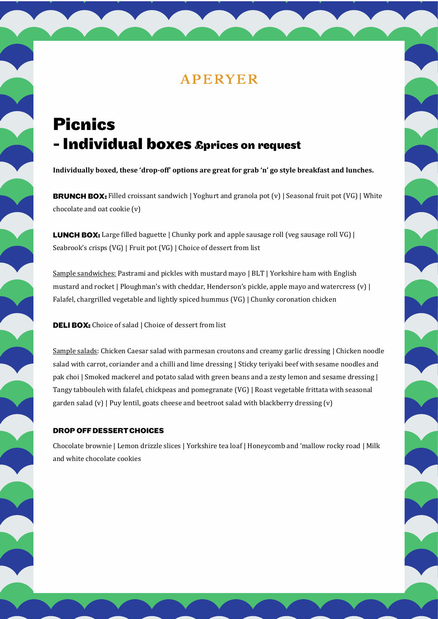# **Picnics** - Individual boxes £prices on request

**Individually boxed, these 'drop-off' options are great for grab 'n' go style breakfast and lunches.**

**BRUNCH BOX:** Filled croissant sandwich | Yoghurt and granola pot  $(v)$  | Seasonal fruit pot  $(VG)$  | White chocolate and oat cookie (v)

**LUNCH BOX:** Large filled baguette | Chunky pork and apple sausage roll (veg sausage roll VG) | Seabrook's crisps (VG) | Fruit pot (VG) | Choice of dessert from list

Sample sandwiches: Pastrami and pickles with mustard mayo | BLT | Yorkshire ham with English mustard and rocket | Ploughman's with cheddar, Henderson's pickle, apple mayo and watercress (v) | Falafel, chargrilled vegetable and lightly spiced hummus (VG) | Chunky coronation chicken

DELI BOX: Choice of salad | Choice of dessert from list

Sample salads: Chicken Caesar salad with parmesan croutons and creamy garlic dressing | Chicken noodle salad with carrot, coriander and a chilli and lime dressing | Sticky teriyaki beef with sesame noodles and pak choi | Smoked mackerel and potato salad with green beans and a zesty lemon and sesame dressing | Tangy tabbouleh with falafel, chickpeas and pomegranate (VG) | Roast vegetable frittata with seasonal garden salad  $(v)$  | Puy lentil, goats cheese and beetroot salad with blackberry dressing  $(v)$ 

### **DROP OFF DESSERT CHOICES**

Chocolate brownie | Lemon drizzle slices | Yorkshire tea loaf | Honeycomb and 'mallow rocky road | Milk and white chocolate cookies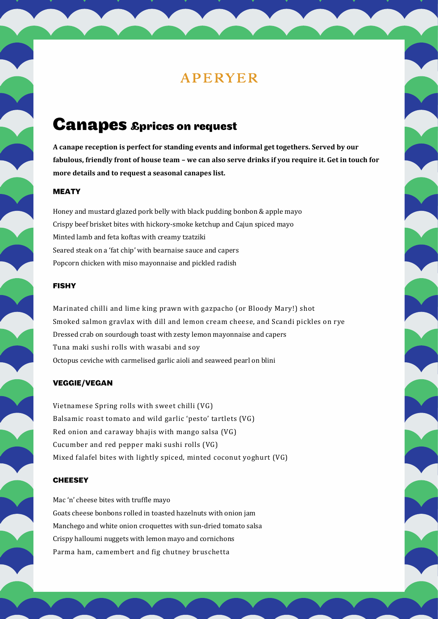## **Canapes &prices on request**

**A canape reception is perfect for standing events and informal get togethers. Served by our fabulous, friendly front of house team – we can also serve drinks if you require it. Get in touch for more details and to request a seasonal canapes list.**

### **MEATY**

Honey and mustard glazed pork belly with black pudding bonbon & apple mayo Crispy beef brisket bites with hickory-smoke ketchup and Cajun spiced mayo Minted lamb and feta koftas with creamy tzatziki Seared steak on a 'fat chip' with bearnaise sauce and capers Popcorn chicken with miso mayonnaise and pickled radish

### **FISHY**

Marinated chilli and lime king prawn with gazpacho (or Bloody Mary!) shot Smoked salmon gravlax with dill and lemon cream cheese, and Scandi pickles on rye Dressed crab on sourdough toast with zesty lemon mayonnaise and capers Tuna maki sushi rolls with wasabi and soy Octopus ceviche with carmelised garlic aioli and seaweed pearl on blini

#### **VEGGIE/VEGAN**

Vietnamese Spring rolls with sweet chilli (VG) Balsamic roast tomato and wild garlic 'pesto' tartlets (VG) Red onion and caraway bhajis with mango salsa (VG) Cucumber and red pepper maki sushi rolls (VG) Mixed falafel bites with lightly spiced, minted coconut yoghurt (VG)

### **CHEESEY**

Mac 'n' cheese bites with truffle mayo Goats cheese bonbons rolled in toasted hazelnuts with onion jam Manchego and white onion croquettes with sun-dried tomato salsa Crispy halloumi nuggets with lemon mayo and cornichons Parma ham, camembert and fig chutney bruschetta